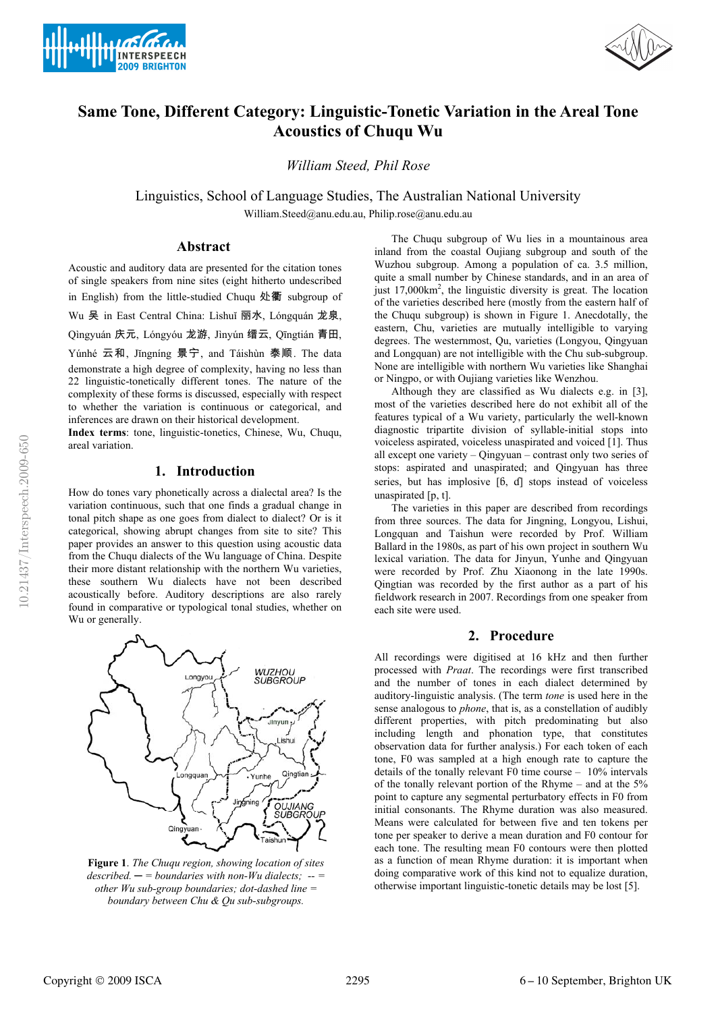



# **Same Tone, Different Category: Linguistic-Tonetic Variation in the Areal Tone Acoustics of Chuqu Wu**

*William Steed, Phil Rose*

Linguistics, School of Language Studies, The Australian National University William.Steed@anu.edu.au, Philip.rose@anu.edu.au

## **Abstract**

Acoustic and auditory data are presented for the citation tones of single speakers from nine sites (eight hitherto undescribed in English) from the little-studied Chuqu 处衢 subgroup of

Wu 吴 in East Central China: Lìshuǐ 丽水, Lóngquán 龙泉,

Qìngyuán 庆元, Lóngyóu 龙游, Jìnyún 缙云, Qīngtián 青田,

Yúnhé 云和, Jĭngníng 景宁, and Táishùn 泰顺. The data demonstrate a high degree of complexity, having no less than 22 linguistic-tonetically different tones. The nature of the complexity of these forms is discussed, especially with respect to whether the variation is continuous or categorical, and inferences are drawn on their historical development.

**Index terms**: tone, linguistic-tonetics, Chinese, Wu, Chuqu, areal variation.

#### **1. Introduction**

How do tones vary phonetically across a dialectal area? Is the variation continuous, such that one finds a gradual change in tonal pitch shape as one goes from dialect to dialect? Or is it categorical, showing abrupt changes from site to site? This paper provides an answer to this question using acoustic data from the Chuqu dialects of the Wu language of China. Despite their more distant relationship with the northern Wu varieties, these southern Wu dialects have not been described acoustically before. Auditory descriptions are also rarely found in comparative or typological tonal studies, whether on Wu or generally.



**Figure 1**. *The Chuqu region, showing location of sites described. ─ = boundaries with non-Wu dialects; -- = other Wu sub-group boundaries; dot-dashed line = boundary between Chu & Qu sub-subgroups.*

The Chuqu subgroup of Wu lies in a mountainous area inland from the coastal Oujiang subgroup and south of the Wuzhou subgroup. Among a population of ca. 3.5 million, quite a small number by Chinese standards, and in an area of just 17,000km2 , the linguistic diversity is great. The location of the varieties described here (mostly from the eastern half of the Chuqu subgroup) is shown in Figure 1. Anecdotally, the eastern, Chu, varieties are mutually intelligible to varying degrees. The westernmost, Qu, varieties (Longyou, Qingyuan and Longquan) are not intelligible with the Chu sub-subgroup. None are intelligible with northern Wu varieties like Shanghai or Ningpo, or with Oujiang varieties like Wenzhou.

Although they are classified as Wu dialects e.g. in [3], most of the varieties described here do not exhibit all of the features typical of a Wu variety, particularly the well-known diagnostic tripartite division of syllable-initial stops into voiceless aspirated, voiceless unaspirated and voiced [1]. Thus all except one variety – Qingyuan – contrast only two series of stops: aspirated and unaspirated; and Qingyuan has three series, but has implosive  $[6, d]$  stops instead of voiceless unaspirated [p, t].

The varieties in this paper are described from recordings from three sources. The data for Jingning, Longyou, Lishui, Longquan and Taishun were recorded by Prof. William Ballard in the 1980s, as part of his own project in southern Wu lexical variation. The data for Jinyun, Yunhe and Qingyuan were recorded by Prof. Zhu Xiaonong in the late 1990s. Qingtian was recorded by the first author as a part of his fieldwork research in 2007. Recordings from one speaker from each site were used.

#### **2. Procedure**

All recordings were digitised at 16 kHz and then further processed with *Praat*. The recordings were first transcribed and the number of tones in each dialect determined by auditory-linguistic analysis. (The term *tone* is used here in the sense analogous to *phone*, that is, as a constellation of audibly different properties, with pitch predominating but also including length and phonation type, that constitutes observation data for further analysis.) For each token of each tone, F0 was sampled at a high enough rate to capture the details of the tonally relevant F0 time course – 10% intervals of the tonally relevant portion of the Rhyme – and at the 5% point to capture any segmental perturbatory effects in F0 from initial consonants. The Rhyme duration was also measured. Means were calculated for between five and ten tokens per tone per speaker to derive a mean duration and F0 contour for each tone. The resulting mean F0 contours were then plotted as a function of mean Rhyme duration: it is important when doing comparative work of this kind not to equalize duration, otherwise important linguistic-tonetic details may be lost [5].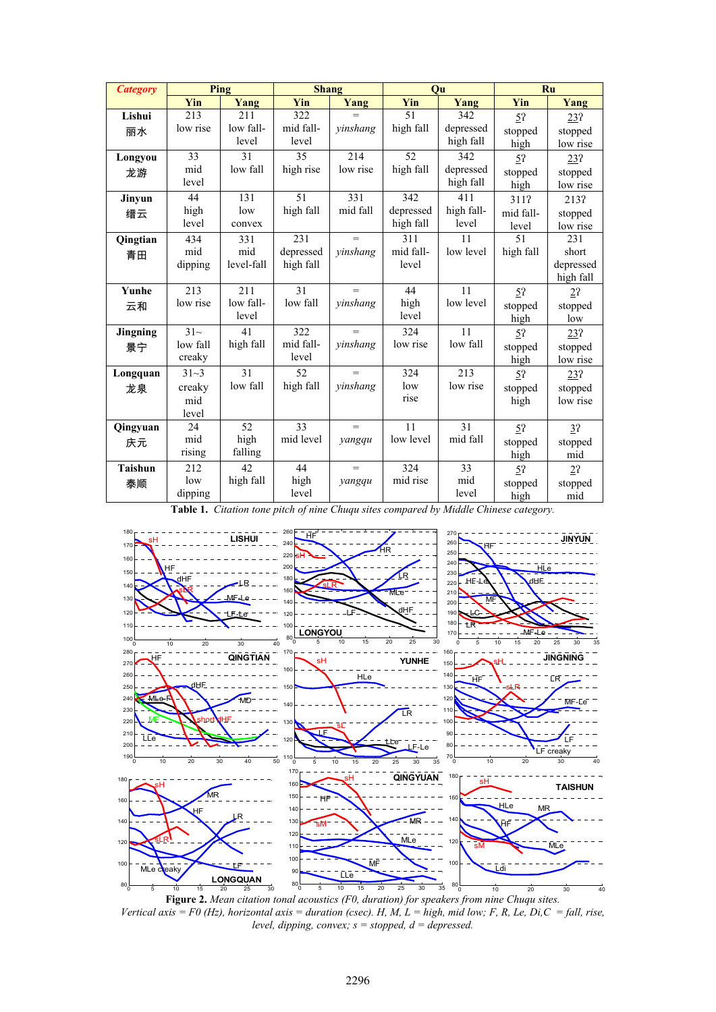| <b>Category</b> | Ping       | <b>Shang</b> |           |          |           | Ou         | Ru             |           |
|-----------------|------------|--------------|-----------|----------|-----------|------------|----------------|-----------|
|                 | <b>Yin</b> | Yang         | Yin       | Yang     | Yin       | Yang       | Yin            | Yang      |
| Lishui          | 213        | 211          | 322       | $=$      | 51        | 342        | 52             | 23?       |
| 丽水              | low rise   | low fall-    | mid fall- | yinshang | high fall | depressed  | stopped        | stopped   |
|                 |            | level        | level     |          |           | high fall  | high           | low rise  |
| Longyou         | 33         | 31           | 35        | 214      | 52        | 342        | 5 <sup>2</sup> | 23?       |
| 龙游              | mid        | low fall     | high rise | low rise | high fall | depressed  | stopped        | stopped   |
|                 | level      |              |           |          |           | high fall  | high           | low rise  |
| Jinyun          | 44         | 131          | 51        | 331      | 342       | 411        | 311?           | 213?      |
| 缙云              | high       | low          | high fall | mid fall | depressed | high fall- | mid fall-      | stopped   |
|                 | level      | convex       |           |          | high fall | level      | level          | low rise  |
| Qingtian        | 434        | 331          | 231       | $=$      | 311       | 11         | 51             | 231       |
| 青田              | mid        | mid          | depressed | yinshang | mid fall- | low level  | high fall      | short     |
|                 | dipping    | level-fall   | high fall |          | level     |            |                | depressed |
|                 |            |              |           |          |           |            |                | high fall |
| <b>Yunhe</b>    | 213        | 211          | 31        | $=$      | 44        | 11         | 52             | 22        |
| 云和              | low rise   | low fall-    | low fall  | vinshang | high      | low level  | stopped        | stopped   |
|                 |            | level        |           |          | level     |            | high           | low       |
| Jingning        | $31-$      | 41           | 322       | $=$      | 324       | 11         | 5 <sup>2</sup> | 23?       |
| 景宁              | low fall   | high fall    | mid fall- | yinshang | low rise  | low fall   | stopped        | stopped   |
|                 | creaky     |              | level     |          |           |            | high           | low rise  |
| Longquan        | $31 - 3$   | 31           | 52        | $=$      | 324       | 213        | 5 <sup>2</sup> | 23?       |
| 龙泉              | creaky     | low fall     | high fall | yinshang | low       | low rise   | stopped        | stopped   |
|                 | mid        |              |           |          | rise      |            | high           | low rise  |
|                 | level      |              |           |          |           |            |                |           |
| <b>Qingyuan</b> | 24         | 52           | 33        | $=$      | 11        | 31         | 52             | 3?        |
| 庆元              | mid        | high         | mid level | yangqu   | low level | mid fall   | stopped        | stopped   |
|                 | rising     | falling      |           |          |           |            | high           | mid       |
| <b>Taishun</b>  | 212        | 42           | 44        | $=$      | 324       | 33         | 5?             | 2?        |
| 泰顺              | low        | high fall    | high      | yangqu   | mid rise  | mid        | stopped        | stopped   |
|                 | dipping    |              | level     |          |           | level      | high           | mid       |

**Table 1.** *Citation tone pitch of nine Chuqu sites compared by Middle Chinese category.* 



**Figure 2.** *Mean citation tonal acoustics (F0, duration) for speakers from nine Chuqu sites. Vertical axis = F0 (Hz), horizontal axis = duration (csec). H, M, L = high, mid low; F, R, Le, Di,C = fall, rise, level, dipping, convex; s = stopped, d = depressed.*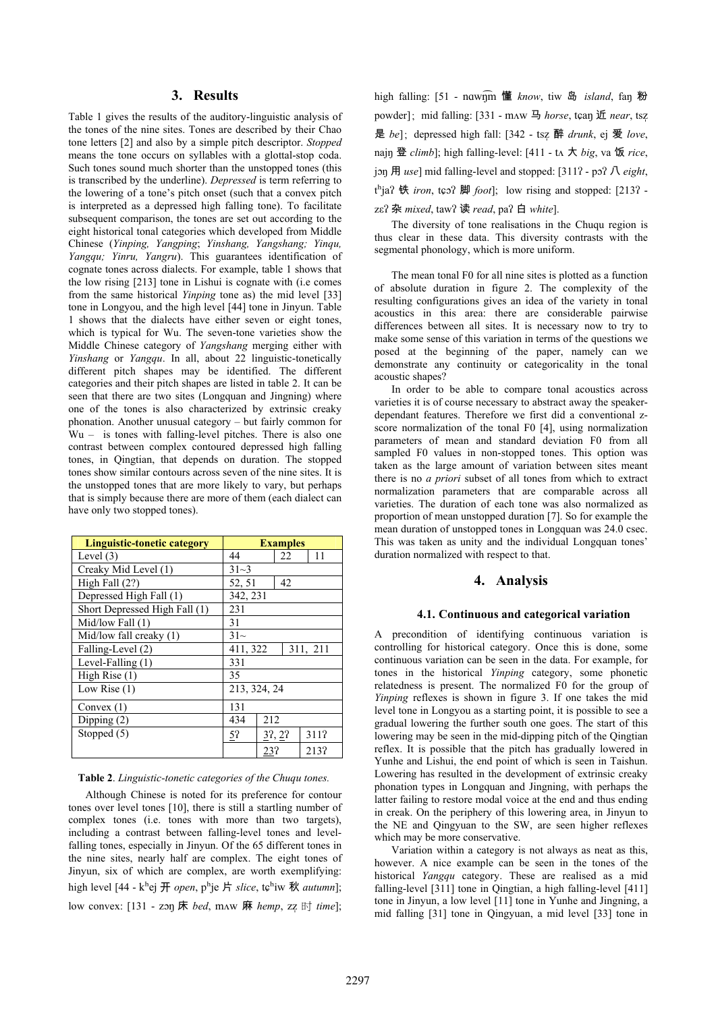# **3. Results**

Table 1 gives the results of the auditory-linguistic analysis of the tones of the nine sites. Tones are described by their Chao tone letters [2] and also by a simple pitch descriptor. *Stopped* means the tone occurs on syllables with a glottal-stop coda. Such tones sound much shorter than the unstopped tones (this is transcribed by the underline). *Depressed* is term referring to the lowering of a tone's pitch onset (such that a convex pitch is interpreted as a depressed high falling tone). To facilitate subsequent comparison, the tones are set out according to the eight historical tonal categories which developed from Middle Chinese (*Yinping, Yangping*; *Yinshang, Yangshang; Yinqu, Yangqu; Yinru, Yangru*). This guarantees identification of cognate tones across dialects. For example, table 1 shows that the low rising [213] tone in Lishui is cognate with (i.e comes from the same historical *Yinping* tone as) the mid level [33] tone in Longyou, and the high level [44] tone in Jinyun. Table 1 shows that the dialects have either seven or eight tones, which is typical for Wu. The seven-tone varieties show the Middle Chinese category of *Yangshang* merging either with *Yinshang* or *Yangqu*. In all, about 22 linguistic-tonetically different pitch shapes may be identified. The different categories and their pitch shapes are listed in table 2. It can be seen that there are two sites (Longquan and Jingning) where one of the tones is also characterized by extrinsic creaky phonation. Another unusual category – but fairly common for Wu – is tones with falling-level pitches. There is also one contrast between complex contoured depressed high falling tones, in Qingtian, that depends on duration. The stopped tones show similar contours across seven of the nine sites. It is the unstopped tones that are more likely to vary, but perhaps that is simply because there are more of them (each dialect can have only two stopped tones).

| <b>Linguistic-tonetic category</b> | <b>Examples</b>      |        |    |      |  |
|------------------------------------|----------------------|--------|----|------|--|
| Level $(3)$                        | 44                   |        | 22 | 11   |  |
| Creaky Mid Level (1)               | $31 - 3$             |        |    |      |  |
| High Fall $(2?)$                   | 52, 51               | 42     |    |      |  |
| Depressed High Fall (1)            | 342, 231             |        |    |      |  |
| Short Depressed High Fall (1)      | 231                  |        |    |      |  |
| Mid/low Fall $(1)$                 | 31                   |        |    |      |  |
| Mid/low fall creaky $(1)$          | $31-$                |        |    |      |  |
| Falling-Level (2)                  | 411, 322<br>311, 211 |        |    |      |  |
| Level-Falling (1)                  | 331                  |        |    |      |  |
| High Rise (1)                      | 35                   |        |    |      |  |
| Low Rise $(1)$                     | 213, 324, 24         |        |    |      |  |
| Convex $(1)$                       | 131                  |        |    |      |  |
| Dipping $(2)$                      | 434<br>212           |        |    |      |  |
| Stopped (5)                        | $5$ ?                | 37, 27 |    | 311? |  |
|                                    |                      | 23?    |    | 213? |  |

#### **Table 2**. *Linguistic-tonetic categories of the Chuqu tones.*

Although Chinese is noted for its preference for contour tones over level tones [10], there is still a startling number of complex tones (i.e. tones with more than two targets), including a contrast between falling-level tones and levelfalling tones, especially in Jinyun. Of the 65 different tones in the nine sites, nearly half are complex. The eight tones of Jinyun, six of which are complex, are worth exemplifying: high level [44 - k<sup>h</sup>ej 开 *open*, p<sup>h</sup>je 片 *slice*, tc<sup>h</sup>iw 秋 *autumn*]; low convex: [131 - zon 床 *bed*, mAW 麻 *hemp*, zz 时 *time*]; high falling: [51 - nawnm 懂 know, tiw 岛 *island*, fan 粉 powder]; mid falling: [331 - mAW 马 *horse*, tçan 近 *near*, tsz 是 *be*]; depressed high fall: [342 - tsz 醉 *drunk*, ej 爱 *love*, najn 登 *climb*]; high falling-level: [411 - tΛ 大 *big*, va 饭 *rice*,  $j$ on 用 *use*] mid falling-level and stopped: [311? - po? 八 *eight*,  $t<sup>h</sup>$  **i**a? 铁 *iron*, t $\boldsymbol{\epsilon}$  <sup>2</sup> 脚 *foot*]; low rising and stopped: [213? zε? 杂 *mixed*, taw? 读 *read*, pa? 白 *white*].

The diversity of tone realisations in the Chuqu region is thus clear in these data. This diversity contrasts with the segmental phonology, which is more uniform.

The mean tonal F0 for all nine sites is plotted as a function of absolute duration in figure 2. The complexity of the resulting configurations gives an idea of the variety in tonal acoustics in this area: there are considerable pairwise differences between all sites. It is necessary now to try to make some sense of this variation in terms of the questions we posed at the beginning of the paper, namely can we demonstrate any continuity or categoricality in the tonal acoustic shapes?

In order to be able to compare tonal acoustics across varieties it is of course necessary to abstract away the speakerdependant features. Therefore we first did a conventional zscore normalization of the tonal F0 [4], using normalization parameters of mean and standard deviation F0 from all sampled F0 values in non-stopped tones. This option was taken as the large amount of variation between sites meant there is no *a priori* subset of all tones from which to extract normalization parameters that are comparable across all varieties. The duration of each tone was also normalized as proportion of mean unstopped duration [7]. So for example the mean duration of unstopped tones in Longquan was 24.0 csec. This was taken as unity and the individual Longquan tones' duration normalized with respect to that.

#### **4. Analysis**

#### **4.1. Continuous and categorical variation**

A precondition of identifying continuous variation is controlling for historical category. Once this is done, some continuous variation can be seen in the data. For example, for tones in the historical *Yinping* category, some phonetic relatedness is present. The normalized F0 for the group of *Yinping* reflexes is shown in figure 3. If one takes the mid level tone in Longyou as a starting point, it is possible to see a gradual lowering the further south one goes. The start of this lowering may be seen in the mid-dipping pitch of the Qingtian reflex. It is possible that the pitch has gradually lowered in Yunhe and Lishui, the end point of which is seen in Taishun. Lowering has resulted in the development of extrinsic creaky phonation types in Longquan and Jingning, with perhaps the latter failing to restore modal voice at the end and thus ending in creak. On the periphery of this lowering area, in Jinyun to the NE and Qingyuan to the SW, are seen higher reflexes which may be more conservative.

Variation within a category is not always as neat as this, however. A nice example can be seen in the tones of the historical *Yangqu* category. These are realised as a mid falling-level [311] tone in Qingtian, a high falling-level [411] tone in Jinyun, a low level [11] tone in Yunhe and Jingning, a mid falling [31] tone in Qingyuan, a mid level [33] tone in